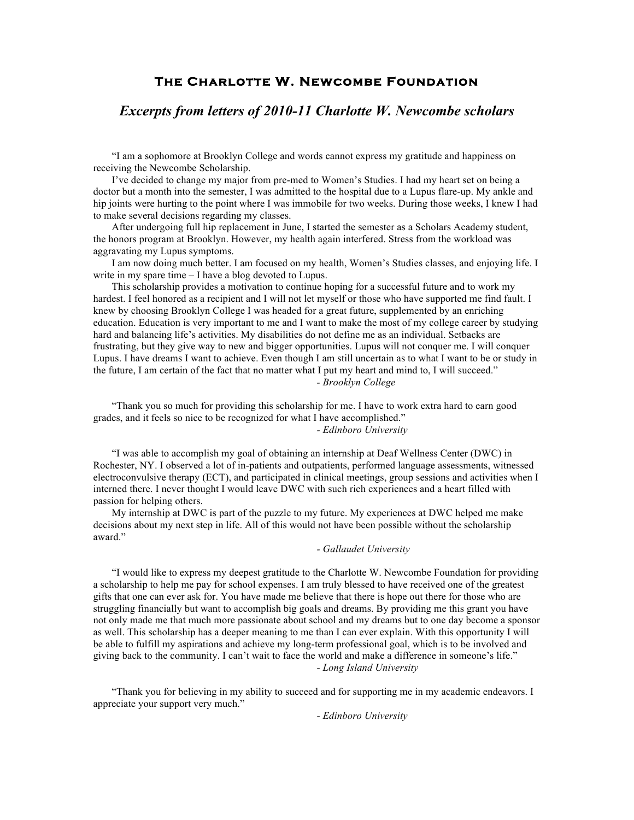# **The Charlotte W. Newcombe Foundation**

## *Excerpts from letters of 2010-11 Charlotte W. Newcombe scholars*

"I am a sophomore at Brooklyn College and words cannot express my gratitude and happiness on receiving the Newcombe Scholarship.

I've decided to change my major from pre-med to Women's Studies. I had my heart set on being a doctor but a month into the semester, I was admitted to the hospital due to a Lupus flare-up. My ankle and hip joints were hurting to the point where I was immobile for two weeks. During those weeks, I knew I had to make several decisions regarding my classes.

After undergoing full hip replacement in June, I started the semester as a Scholars Academy student, the honors program at Brooklyn. However, my health again interfered. Stress from the workload was aggravating my Lupus symptoms.

I am now doing much better. I am focused on my health, Women's Studies classes, and enjoying life. I write in my spare time – I have a blog devoted to Lupus.

This scholarship provides a motivation to continue hoping for a successful future and to work my hardest. I feel honored as a recipient and I will not let myself or those who have supported me find fault. I knew by choosing Brooklyn College I was headed for a great future, supplemented by an enriching education. Education is very important to me and I want to make the most of my college career by studying hard and balancing life's activities. My disabilities do not define me as an individual. Setbacks are frustrating, but they give way to new and bigger opportunities. Lupus will not conquer me. I will conquer Lupus. I have dreams I want to achieve. Even though I am still uncertain as to what I want to be or study in the future, I am certain of the fact that no matter what I put my heart and mind to, I will succeed." *- Brooklyn College*

"Thank you so much for providing this scholarship for me. I have to work extra hard to earn good grades, and it feels so nice to be recognized for what I have accomplished."

*- Edinboro University*

"I was able to accomplish my goal of obtaining an internship at Deaf Wellness Center (DWC) in Rochester, NY. I observed a lot of in-patients and outpatients, performed language assessments, witnessed electroconvulsive therapy (ECT), and participated in clinical meetings, group sessions and activities when I interned there. I never thought I would leave DWC with such rich experiences and a heart filled with passion for helping others.

My internship at DWC is part of the puzzle to my future. My experiences at DWC helped me make decisions about my next step in life. All of this would not have been possible without the scholarship award."

#### *- Gallaudet University*

"I would like to express my deepest gratitude to the Charlotte W. Newcombe Foundation for providing a scholarship to help me pay for school expenses. I am truly blessed to have received one of the greatest gifts that one can ever ask for. You have made me believe that there is hope out there for those who are struggling financially but want to accomplish big goals and dreams. By providing me this grant you have not only made me that much more passionate about school and my dreams but to one day become a sponsor as well. This scholarship has a deeper meaning to me than I can ever explain. With this opportunity I will be able to fulfill my aspirations and achieve my long-term professional goal, which is to be involved and giving back to the community. I can't wait to face the world and make a difference in someone's life." *- Long Island University*

"Thank you for believing in my ability to succeed and for supporting me in my academic endeavors. I appreciate your support very much."

*- Edinboro University*